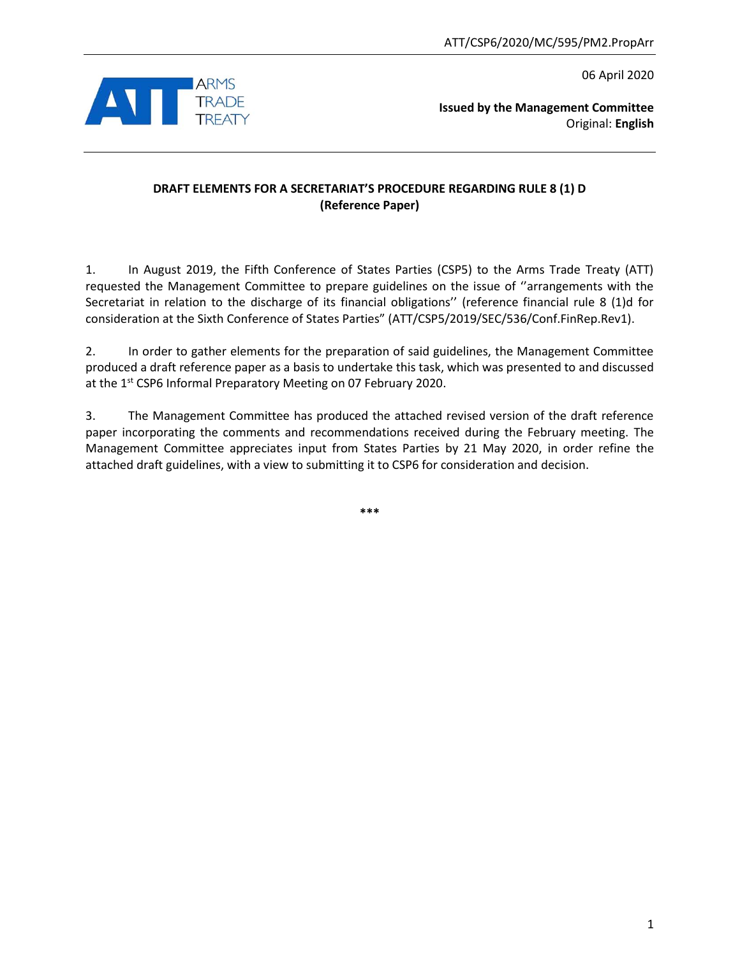06 April 2020



**Issued by the Management Committee** Original: **English**

# **DRAFT ELEMENTS FOR A SECRETARIAT'S PROCEDURE REGARDING RULE 8 (1) D (Reference Paper)**

1. In August 2019, the Fifth Conference of States Parties (CSP5) to the Arms Trade Treaty (ATT) requested the Management Committee to prepare guidelines on the issue of ''arrangements with the Secretariat in relation to the discharge of its financial obligations'' (reference financial rule 8 (1)d for consideration at the Sixth Conference of States Parties" (ATT/CSP5/2019/SEC/536/Conf.FinRep.Rev1).

2. In order to gather elements for the preparation of said guidelines, the Management Committee produced a draft reference paper as a basis to undertake this task, which was presented to and discussed at the 1<sup>st</sup> CSP6 Informal Preparatory Meeting on 07 February 2020.

3. The Management Committee has produced the attached revised version of the draft reference paper incorporating the comments and recommendations received during the February meeting. The Management Committee appreciates input from States Parties by 21 May 2020, in order refine the attached draft guidelines, with a view to submitting it to CSP6 for consideration and decision.

**\*\*\***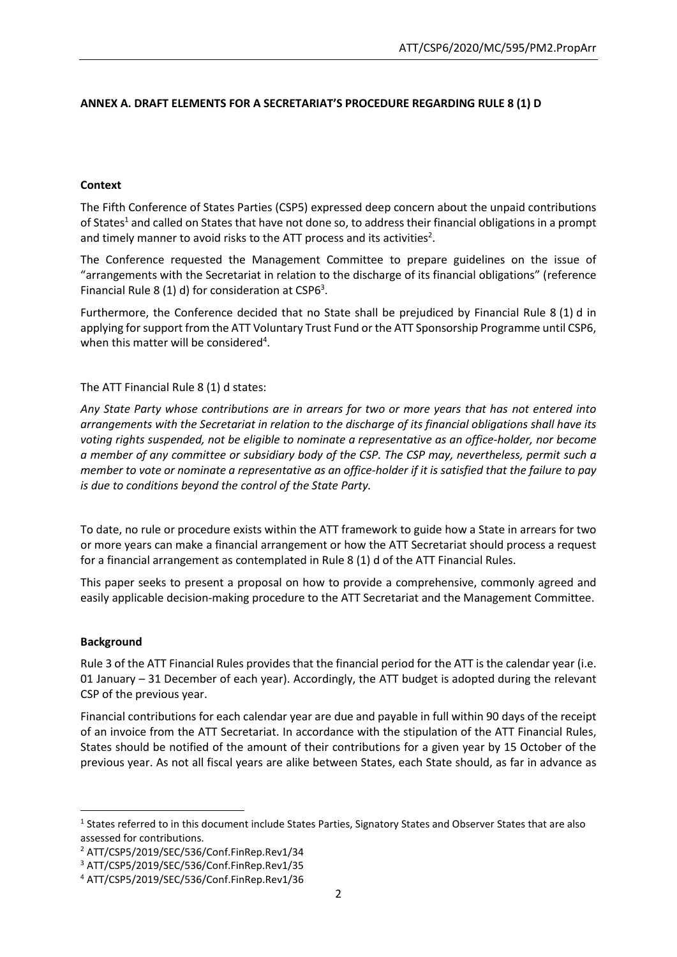# **ANNEX A. DRAFT ELEMENTS FOR A SECRETARIAT'S PROCEDURE REGARDING RULE 8 (1) D**

### **Context**

The Fifth Conference of States Parties (CSP5) expressed deep concern about the unpaid contributions of States<sup>1</sup> and called on States that have not done so, to address their financial obligations in a prompt and timely manner to avoid risks to the ATT process and its activities<sup>2</sup>.

The Conference requested the Management Committee to prepare guidelines on the issue of "arrangements with the Secretariat in relation to the discharge of its financial obligations" (reference Financial Rule 8 (1) d) for consideration at CSP6<sup>3</sup>.

Furthermore, the Conference decided that no State shall be prejudiced by Financial Rule 8 (1) d in applying for support from the ATT Voluntary Trust Fund or the ATT Sponsorship Programme until CSP6, when this matter will be considered<sup>4</sup>.

### The ATT Financial Rule 8 (1) d states:

*Any State Party whose contributions are in arrears for two or more years that has not entered into arrangements with the Secretariat in relation to the discharge of its financial obligations shall have its voting rights suspended, not be eligible to nominate a representative as an office-holder, nor become a member of any committee or subsidiary body of the CSP. The CSP may, nevertheless, permit such a member to vote or nominate a representative as an office-holder if it is satisfied that the failure to pay is due to conditions beyond the control of the State Party.*

To date, no rule or procedure exists within the ATT framework to guide how a State in arrears for two or more years can make a financial arrangement or how the ATT Secretariat should process a request for a financial arrangement as contemplated in Rule 8 (1) d of the ATT Financial Rules.

This paper seeks to present a proposal on how to provide a comprehensive, commonly agreed and easily applicable decision-making procedure to the ATT Secretariat and the Management Committee.

#### **Background**

**.** 

Rule 3 of the ATT Financial Rules provides that the financial period for the ATT is the calendar year (i.e. 01 January  $-31$  December of each year). Accordingly, the ATT budget is adopted during the relevant CSP of the previous year.

Financial contributions for each calendar year are due and payable in full within 90 days of the receipt of an invoice from the ATT Secretariat. In accordance with the stipulation of the ATT Financial Rules, States should be notified of the amount of their contributions for a given year by 15 October of the previous year. As not all fiscal years are alike between States, each State should, as far in advance as

<sup>&</sup>lt;sup>1</sup> States referred to in this document include States Parties, Signatory States and Observer States that are also assessed for contributions.

<sup>2</sup> ATT/CSP5/2019/SEC/536/Conf.FinRep.Rev1/34

<sup>3</sup> ATT/CSP5/2019/SEC/536/Conf.FinRep.Rev1/35

<sup>4</sup> ATT/CSP5/2019/SEC/536/Conf.FinRep.Rev1/36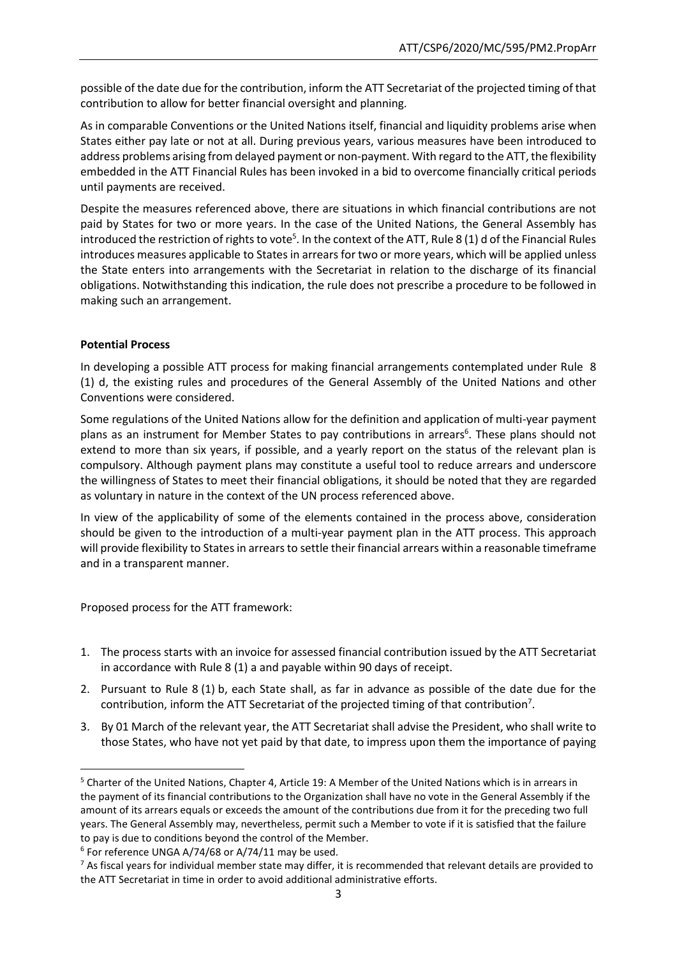possible of the date due for the contribution, inform the ATT Secretariat of the projected timing of that contribution to allow for better financial oversight and planning.

As in comparable Conventions or the United Nations itself, financial and liquidity problems arise when States either pay late or not at all. During previous years, various measures have been introduced to address problems arising from delayed payment or non-payment. With regard to the ATT, the flexibility embedded in the ATT Financial Rules has been invoked in a bid to overcome financially critical periods until payments are received.

Despite the measures referenced above, there are situations in which financial contributions are not paid by States for two or more years. In the case of the United Nations, the General Assembly has introduced the restriction of rights to vote<sup>5</sup>. In the context of the ATT, Rule 8 (1) d of the Financial Rules introduces measures applicable to States in arrears for two or more years, which will be applied unless the State enters into arrangements with the Secretariat in relation to the discharge of its financial obligations. Notwithstanding this indication, the rule does not prescribe a procedure to be followed in making such an arrangement.

### **Potential Process**

**.** 

In developing a possible ATT process for making financial arrangements contemplated under Rule 8 (1) d, the existing rules and procedures of the General Assembly of the United Nations and other Conventions were considered.

Some regulations of the United Nations allow for the definition and application of multi-year payment plans as an instrument for Member States to pay contributions in arrears<sup>6</sup>. These plans should not extend to more than six years, if possible, and a yearly report on the status of the relevant plan is compulsory. Although payment plans may constitute a useful tool to reduce arrears and underscore the willingness of States to meet their financial obligations, it should be noted that they are regarded as voluntary in nature in the context of the UN process referenced above.

In view of the applicability of some of the elements contained in the process above, consideration should be given to the introduction of a multi-year payment plan in the ATT process. This approach will provide flexibility to States in arrears to settle their financial arrears within a reasonable timeframe and in a transparent manner.

Proposed process for the ATT framework:

- 1. The process starts with an invoice for assessed financial contribution issued by the ATT Secretariat in accordance with Rule 8 (1) a and payable within 90 days of receipt.
- 2. Pursuant to Rule 8 (1) b, each State shall, as far in advance as possible of the date due for the contribution, inform the ATT Secretariat of the projected timing of that contribution<sup>7</sup>.
- 3. By 01 March of the relevant year, the ATT Secretariat shall advise the President, who shall write to those States, who have not yet paid by that date, to impress upon them the importance of paying

<sup>5</sup> Charter of the United Nations, Chapter 4, Article 19: A Member of the United Nations which is in arrears in the payment of its financial contributions to the Organization shall have no vote in the General Assembly if the amount of its arrears equals or exceeds the amount of the contributions due from it for the preceding two full years. The General Assembly may, nevertheless, permit such a Member to vote if it is satisfied that the failure to pay is due to conditions beyond the control of the Member.

<sup>6</sup> For reference UNGA A/74/68 or A/74/11 may be used.

 $<sup>7</sup>$  As fiscal years for individual member state may differ, it is recommended that relevant details are provided to</sup> the ATT Secretariat in time in order to avoid additional administrative efforts.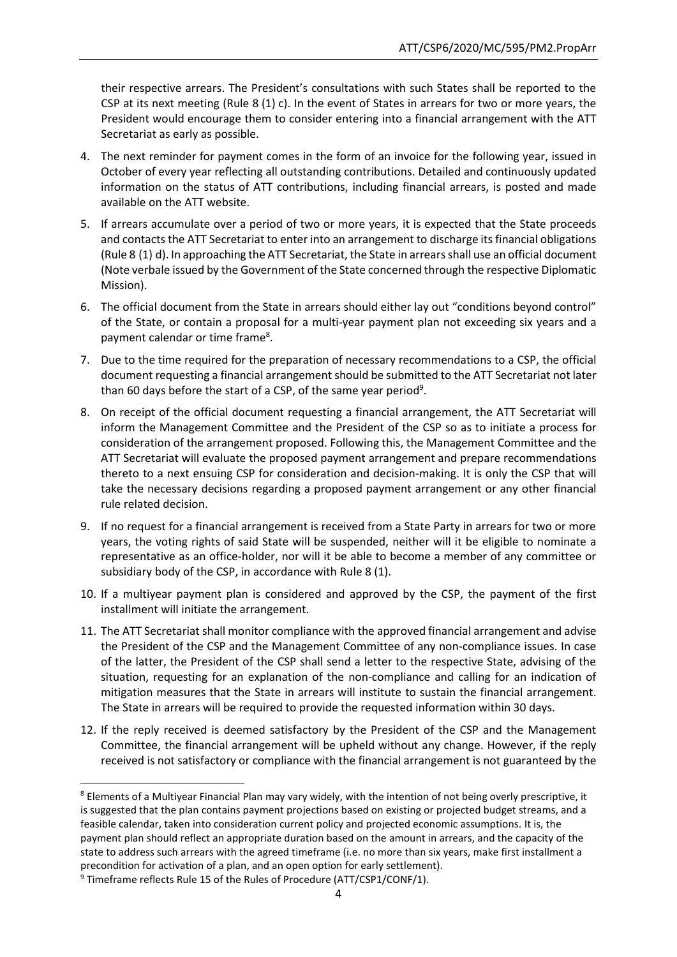their respective arrears. The President's consultations with such States shall be reported to the CSP at its next meeting (Rule 8 (1) c). In the event of States in arrears for two or more years, the President would encourage them to consider entering into a financial arrangement with the ATT Secretariat as early as possible.

- 4. The next reminder for payment comes in the form of an invoice for the following year, issued in October of every year reflecting all outstanding contributions. Detailed and continuously updated information on the status of ATT contributions, including financial arrears, is posted and made available on the ATT website.
- 5. If arrears accumulate over a period of two or more years, it is expected that the State proceeds and contacts the ATT Secretariat to enter into an arrangement to discharge its financial obligations (Rule 8 (1) d). In approaching the ATT Secretariat, the State in arrears shall use an official document (Note verbale issued by the Government of the State concerned through the respective Diplomatic Mission).
- 6. The official document from the State in arrears should either lay out "conditions beyond control" of the State, or contain a proposal for a multi-year payment plan not exceeding six years and a payment calendar or time frame<sup>8</sup>.
- 7. Due to the time required for the preparation of necessary recommendations to a CSP, the official document requesting a financial arrangement should be submitted to the ATT Secretariat not later than 60 days before the start of a CSP, of the same year period<sup>9</sup>.
- 8. On receipt of the official document requesting a financial arrangement, the ATT Secretariat will inform the Management Committee and the President of the CSP so as to initiate a process for consideration of the arrangement proposed. Following this, the Management Committee and the ATT Secretariat will evaluate the proposed payment arrangement and prepare recommendations thereto to a next ensuing CSP for consideration and decision-making. It is only the CSP that will take the necessary decisions regarding a proposed payment arrangement or any other financial rule related decision.
- 9. If no request for a financial arrangement is received from a State Party in arrears for two or more years, the voting rights of said State will be suspended, neither will it be eligible to nominate a representative as an office-holder, nor will it be able to become a member of any committee or subsidiary body of the CSP, in accordance with Rule 8 (1).
- 10. If a multiyear payment plan is considered and approved by the CSP, the payment of the first installment will initiate the arrangement.
- 11. The ATT Secretariat shall monitor compliance with the approved financial arrangement and advise the President of the CSP and the Management Committee of any non-compliance issues. In case of the latter, the President of the CSP shall send a letter to the respective State, advising of the situation, requesting for an explanation of the non-compliance and calling for an indication of mitigation measures that the State in arrears will institute to sustain the financial arrangement. The State in arrears will be required to provide the requested information within 30 days.
- 12. If the reply received is deemed satisfactory by the President of the CSP and the Management Committee, the financial arrangement will be upheld without any change. However, if the reply received is not satisfactory or compliance with the financial arrangement is not guaranteed by the

**.** 

<sup>&</sup>lt;sup>8</sup> Elements of a Multiyear Financial Plan may vary widely, with the intention of not being overly prescriptive, it is suggested that the plan contains payment projections based on existing or projected budget streams, and a feasible calendar, taken into consideration current policy and projected economic assumptions. It is, the payment plan should reflect an appropriate duration based on the amount in arrears, and the capacity of the state to address such arrears with the agreed timeframe (i.e. no more than six years, make first installment a precondition for activation of a plan, and an open option for early settlement).

<sup>&</sup>lt;sup>9</sup> Timeframe reflects Rule 15 of the Rules of Procedure (ATT/CSP1/CONF/1).